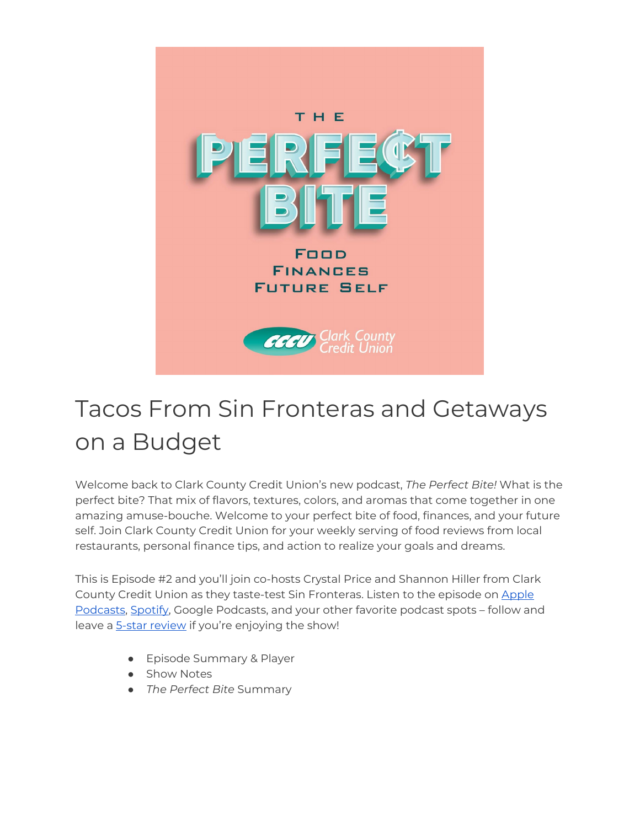

# Tacos From Sin Fronteras and Getaways on a Budget

Welcome back to Clark County Credit Union's new podcast, *The Perfect Bite!* What is the perfect bite? That mix of flavors, textures, colors, and aromas that come together in one amazing amuse-bouche. Welcome to your perfect bite of food, finances, and your future self. Join Clark County Credit Union for your weekly serving of food reviews from local restaurants, personal finance tips, and action to realize your goals and dreams.

This is Episode #2 and you'll join co-hosts Crystal Price and Shannon Hiller from Clark County Credit Union as they taste-test Sin Fronteras. Listen to the episode on [Apple](https://podcasts.apple.com/us/podcast/the-perfect-bite/id1604656448)  [Podcasts,](https://podcasts.apple.com/us/podcast/the-perfect-bite/id1604656448) [Spotify,](https://open.spotify.com/show/7tNPJZBNHabGWEFmjnHaxR?si=a0a7808911264628) Google Podcasts, and your other favorite podcast spots – follow and leave a [5-star review](https://podcasts.apple.com/us/podcast/the-perfect-bite/id1604656448) if you're enjoying the show!

- Episode Summary & Player
- Show Notes
- *The Perfect Bite* Summary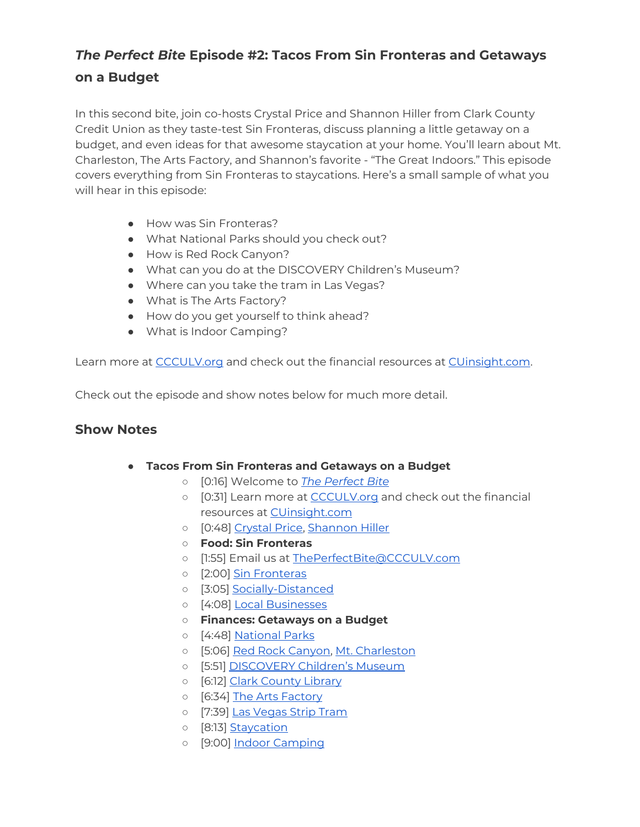# *The Perfect Bite* **Episode #2: Tacos From Sin Fronteras and Getaways on a Budget**

In this second bite, join co-hosts Crystal Price and Shannon Hiller from Clark County Credit Union as they taste-test Sin Fronteras, discuss planning a little getaway on a budget, and even ideas for that awesome staycation at your home. You'll learn about Mt. Charleston, The Arts Factory, and Shannon's favorite - "The Great Indoors." This episode covers everything from Sin Fronteras to staycations. Here's a small sample of what you will hear in this episode:

- How was Sin Fronteras?
- What National Parks should you check out?
- How is Red Rock Canyon?
- What can you do at the DISCOVERY Children's Museum?
- Where can you take the tram in Las Vegas?
- What is The Arts Factory?
- How do you get yourself to think ahead?
- What is Indoor Camping?

Learn more at [CCCULV.org](https://www.ccculv.org/) and check out the financial resources at [CUinsight.com.](https://www.cuinsight.com/)

Check out the episode and show notes below for much more detail.

#### **Show Notes**

- **Tacos From Sin Fronteras and Getaways on a Budget**
	- [0:16] Welcome to *[The Perfect Bite](https://www.ccculv.org/)*
	- [0:31] Learn more at [CCCULV.org](https://www.ccculv.org/) and check out the financial resources at **CUinsight.com**
	- o [0:48] [Crystal Price, Shannon Hiller](https://www.ccculv.org/Our-Mission.aspx)
	- **Food: Sin Fronteras**
	- [1:55] Email us at [ThePerfectBite@CCCULV.com](mailto:ThePerfectBite@CCCULV.org)
	- o [2:00] [Sin Fronteras](https://sinfronterastacos.com/)
	- [3:05] [Socially-Distanced](https://www.hopkinsmedicine.org/health/conditions-and-diseases/coronavirus/coronavirus-social-distancing-and-self-quarantine)
	- [4:08] [Local Businesses](https://www.yelp.com/nearme)
	- **Finances: Getaways on a Budget**
	- [4:48] [National Parks](https://www.nps.gov/index.htm)
	- [5:06] [Red Rock Canyon,](https://www.redrockcanyonlv.org/) [Mt. Charleston](https://www.gomtcharleston.com/)
	- o [5:51] [DISCOVERY Children's Museum](https://www.discoverykidslv.org/)
	- o [6:12] [Clark County Library](https://lvccld.org/)
	- o [6:34] [The Arts Factory](https://dtlvarts.com/dtlv-arts-the-arts-factory/)
	- o [7:39] [Las Vegas Strip Tram](https://www.lvmonorail.com/route-map/)
	- o [8:13] [Staycation](https://tinytrips.com/getaway-ideas/how-to-take-a-staycation)
	- o [9:00] [Indoor Camping](https://www.hgtv.com/lifestyle/family/kids-and-babies/indoor-camping-ideas-for-kids-pictures)